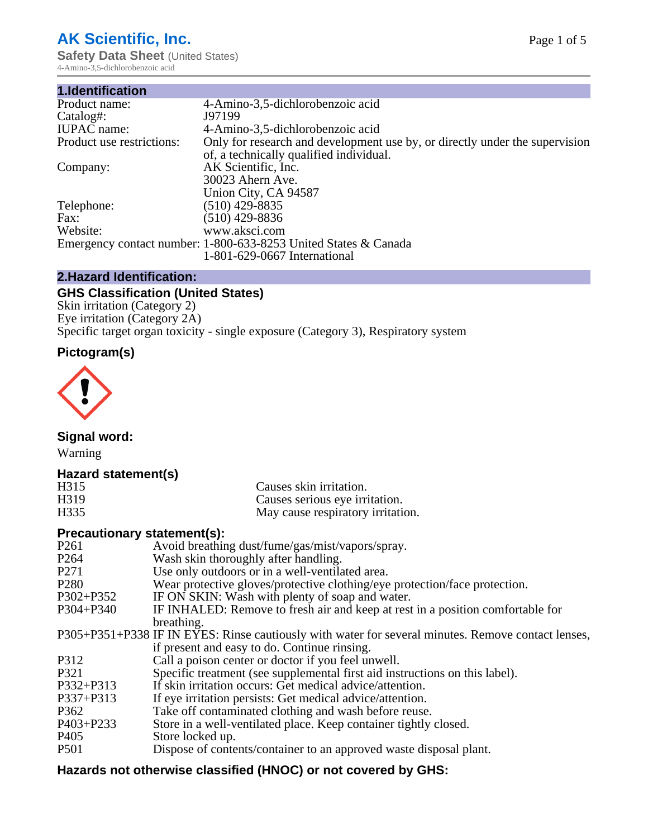# **AK Scientific, Inc.**

**Safety Data Sheet (United States)** 4-Amino-3,5-dichlorobenzoic acid

| 1.Identification          |                                                                             |
|---------------------------|-----------------------------------------------------------------------------|
| Product name:             | 4-Amino-3,5-dichlorobenzoic acid                                            |
| Catalog#:                 | J97199                                                                      |
| <b>IUPAC</b> name:        | 4-Amino-3,5-dichlorobenzoic acid                                            |
| Product use restrictions: | Only for research and development use by, or directly under the supervision |
|                           | of, a technically qualified individual.                                     |
| Company:                  | AK Scientific, Inc.                                                         |
|                           | 30023 Ahern Ave.                                                            |
|                           | Union City, CA 94587                                                        |
| Telephone:                | $(510)$ 429-8835                                                            |
| Fax:                      | (510) 429-8836                                                              |
| Website:                  | www.aksci.com                                                               |
|                           | Emergency contact number: 1-800-633-8253 United States & Canada             |
|                           | 1-801-629-0667 International                                                |

## **2.Hazard Identification:**

# **GHS Classification (United States)**

Skin irritation (Category 2) Eye irritation (Category 2A) Specific target organ toxicity - single exposure (Category 3), Respiratory system

# **Pictogram(s)**



**Signal word:**

Warning

## **Hazard statement(s)**

| H <sub>315</sub>  | Causes skin irritation.           |
|-------------------|-----------------------------------|
| H <sub>3</sub> 19 | Causes serious eye irritation.    |
| H335              | May cause respiratory irritation. |

## **Precautionary statement(s):**

| P <sub>261</sub> | Avoid breathing dust/fume/gas/mist/vapors/spray.                                                   |
|------------------|----------------------------------------------------------------------------------------------------|
| P <sub>264</sub> | Wash skin thoroughly after handling.                                                               |
| P <sub>271</sub> | Use only outdoors or in a well-ventilated area.                                                    |
| P <sub>280</sub> | Wear protective gloves/protective clothing/eye protection/face protection.                         |
| P302+P352        | IF ON SKIN: Wash with plenty of soap and water.                                                    |
| $P304 + P340$    | IF INHALED: Remove to fresh air and keep at rest in a position comfortable for                     |
|                  | breathing.                                                                                         |
|                  | P305+P351+P338 IF IN EYES: Rinse cautiously with water for several minutes. Remove contact lenses, |
|                  | if present and easy to do. Continue rinsing.                                                       |
| P312             | Call a poison center or doctor if you feel unwell.                                                 |
| P321             | Specific treatment (see supplemental first aid instructions on this label).                        |
| P332+P313        | If skin irritation occurs: Get medical advice/attention.                                           |
| P337+P313        | If eye irritation persists: Get medical advice/attention.                                          |
| P362             | Take off contaminated clothing and wash before reuse.                                              |
| $P403 + P233$    | Store in a well-ventilated place. Keep container tightly closed.                                   |
| P <sub>405</sub> | Store locked up.                                                                                   |
| P <sub>501</sub> | Dispose of contents/container to an approved waste disposal plant.                                 |
|                  |                                                                                                    |

## **Hazards not otherwise classified (HNOC) or not covered by GHS:**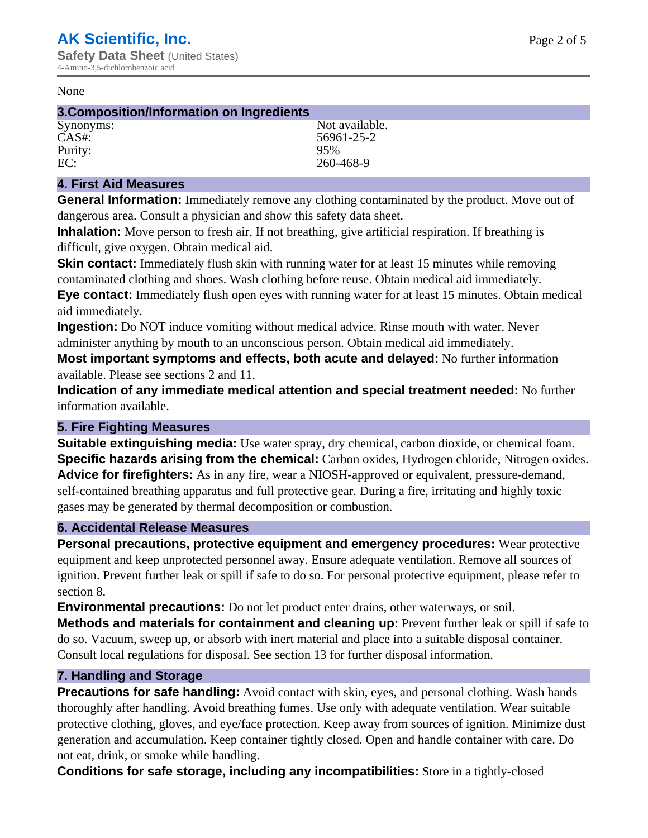#### None

## **3.Composition/Information on Ingredients**

Purity: 95%

Synonyms: Not available. CAS#: 56961-25-2 EC: 260-468-9

## **4. First Aid Measures**

**General Information:** Immediately remove any clothing contaminated by the product. Move out of dangerous area. Consult a physician and show this safety data sheet.

**Inhalation:** Move person to fresh air. If not breathing, give artificial respiration. If breathing is difficult, give oxygen. Obtain medical aid.

**Skin contact:** Immediately flush skin with running water for at least 15 minutes while removing contaminated clothing and shoes. Wash clothing before reuse. Obtain medical aid immediately. **Eye contact:** Immediately flush open eyes with running water for at least 15 minutes. Obtain medical aid immediately.

**Ingestion:** Do NOT induce vomiting without medical advice. Rinse mouth with water. Never administer anything by mouth to an unconscious person. Obtain medical aid immediately.

**Most important symptoms and effects, both acute and delayed:** No further information available. Please see sections 2 and 11.

**Indication of any immediate medical attention and special treatment needed:** No further information available.

## **5. Fire Fighting Measures**

**Suitable extinguishing media:** Use water spray, dry chemical, carbon dioxide, or chemical foam. **Specific hazards arising from the chemical:** Carbon oxides, Hydrogen chloride, Nitrogen oxides. **Advice for firefighters:** As in any fire, wear a NIOSH-approved or equivalent, pressure-demand, self-contained breathing apparatus and full protective gear. During a fire, irritating and highly toxic gases may be generated by thermal decomposition or combustion.

## **6. Accidental Release Measures**

**Personal precautions, protective equipment and emergency procedures:** Wear protective equipment and keep unprotected personnel away. Ensure adequate ventilation. Remove all sources of ignition. Prevent further leak or spill if safe to do so. For personal protective equipment, please refer to section 8.

**Environmental precautions:** Do not let product enter drains, other waterways, or soil.

**Methods and materials for containment and cleaning up:** Prevent further leak or spill if safe to do so. Vacuum, sweep up, or absorb with inert material and place into a suitable disposal container. Consult local regulations for disposal. See section 13 for further disposal information.

## **7. Handling and Storage**

**Precautions for safe handling:** Avoid contact with skin, eyes, and personal clothing. Wash hands thoroughly after handling. Avoid breathing fumes. Use only with adequate ventilation. Wear suitable protective clothing, gloves, and eye/face protection. Keep away from sources of ignition. Minimize dust generation and accumulation. Keep container tightly closed. Open and handle container with care. Do not eat, drink, or smoke while handling.

**Conditions for safe storage, including any incompatibilities:** Store in a tightly-closed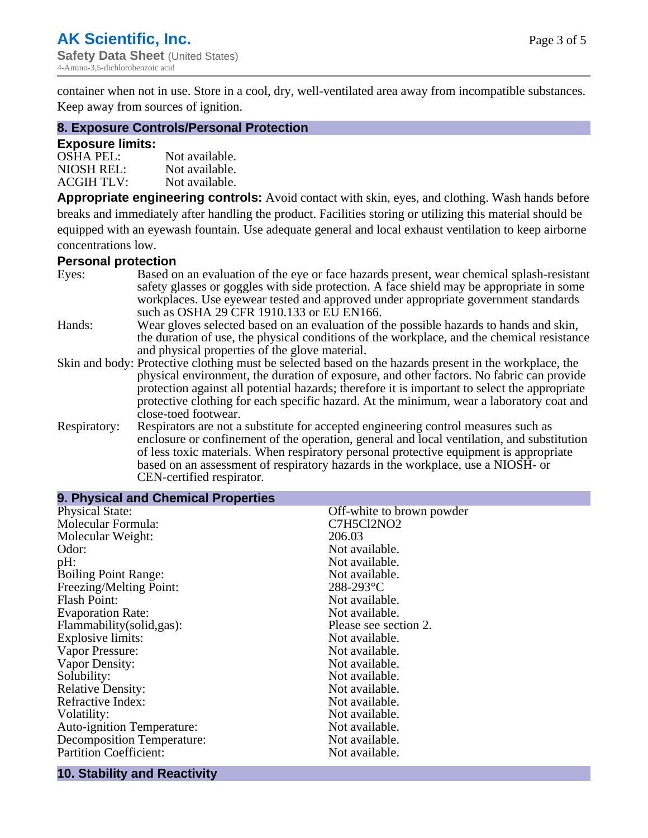container when not in use. Store in a cool, dry, well-ventilated area away from incompatible substances. Keep away from sources of ignition.

#### **8. Exposure Controls/Personal Protection**

#### **Exposure limits:**

| <b>OSHA PEL:</b>  | Not available. |
|-------------------|----------------|
| NIOSH REL:        | Not available. |
| <b>ACGIH TLV:</b> | Not available. |

**Appropriate engineering controls:** Avoid contact with skin, eyes, and clothing. Wash hands before breaks and immediately after handling the product. Facilities storing or utilizing this material should be equipped with an eyewash fountain. Use adequate general and local exhaust ventilation to keep airborne concentrations low.

#### **Personal protection**

| Eyes:        | Based on an evaluation of the eye or face hazards present, wear chemical splash-resistant<br>safety glasses or goggles with side protection. A face shield may be appropriate in some |
|--------------|---------------------------------------------------------------------------------------------------------------------------------------------------------------------------------------|
|              | workplaces. Use eyewear tested and approved under appropriate government standards<br>such as OSHA 29 CFR 1910.133 or EU EN166.                                                       |
| Hands:       | Wear gloves selected based on an evaluation of the possible hazards to hands and skin,                                                                                                |
|              | the duration of use, the physical conditions of the workplace, and the chemical resistance                                                                                            |
|              | and physical properties of the glove material.                                                                                                                                        |
|              | Skin and body: Protective clothing must be selected based on the hazards present in the workplace, the                                                                                |
|              | physical environment, the duration of exposure, and other factors. No fabric can provide                                                                                              |
|              | protection against all potential hazards; therefore it is important to select the appropriate                                                                                         |
|              | protective clothing for each specific hazard. At the minimum, wear a laboratory coat and                                                                                              |
|              | close-toed footwear.                                                                                                                                                                  |
| Respiratory: | Respirators are not a substitute for accepted engineering control measures such as<br>enclosure or confinement of the operation, general and local ventilation, and substitution      |
|              | of less toxic materials. When respiratory personal protective equipment is appropriate                                                                                                |
|              |                                                                                                                                                                                       |
|              | based on an assessment of respiratory hazards in the workplace, use a NIOSH- or                                                                                                       |
|              | CEN-certified respirator.                                                                                                                                                             |

| 9. Physical and Chemical Properties |                           |  |  |
|-------------------------------------|---------------------------|--|--|
| <b>Physical State:</b>              | Off-white to brown powder |  |  |
| Molecular Formula:                  | C7H5Cl2NO2                |  |  |
| Molecular Weight:                   | 206.03                    |  |  |
| Odor:                               | Not available.            |  |  |
| pH:                                 | Not available.            |  |  |
| <b>Boiling Point Range:</b>         | Not available.            |  |  |
| Freezing/Melting Point:             | $288 - 293$ °C            |  |  |
| <b>Flash Point:</b>                 | Not available.            |  |  |
| <b>Evaporation Rate:</b>            | Not available.            |  |  |
| Flammability(solid,gas):            | Please see section 2.     |  |  |
| Explosive limits:                   | Not available.            |  |  |
| Vapor Pressure:                     | Not available.            |  |  |
| Vapor Density:                      | Not available.            |  |  |
| Solubility:                         | Not available.            |  |  |
| <b>Relative Density:</b>            | Not available.            |  |  |
| Refractive Index:                   | Not available.            |  |  |
| Volatility:                         | Not available.            |  |  |
| <b>Auto-ignition Temperature:</b>   | Not available.            |  |  |
| <b>Decomposition Temperature:</b>   | Not available.            |  |  |
| <b>Partition Coefficient:</b>       | Not available.            |  |  |

## **10. Stability and Reactivity**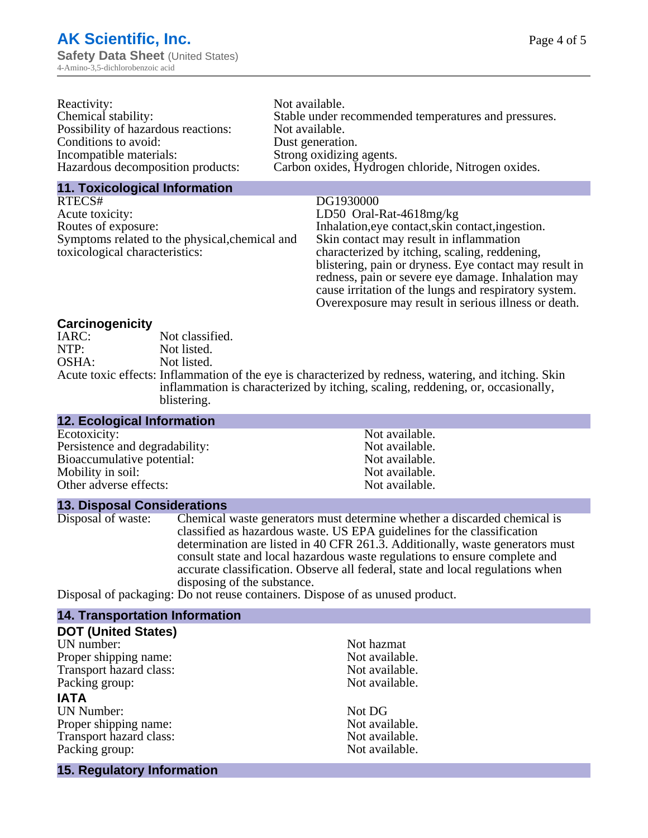| Reactivity:                         | Not available.                                       |
|-------------------------------------|------------------------------------------------------|
| Chemical stability:                 | Stable under recommended temperatures and pressures. |
| Possibility of hazardous reactions: | Not available.                                       |
| Conditions to avoid:                | Dust generation.                                     |
| Incompatible materials:             | Strong oxidizing agents.                             |
| Hazardous decomposition products:   | Carbon oxides, Hydrogen chloride, Nitrogen oxides.   |
|                                     |                                                      |

#### **11. Toxicological Information**

RTECS# DG1930000 Acute toxicity:<br>
Routes of exposure:<br>
LD50 Oral-Rat-4618mg/kg<br>
Inhalation,eye contact,skin c Symptoms related to the physical,chemical and toxicological characteristics:

Inhalation,eye contact, skin contact, ingestion. Skin contact may result in inflammation characterized by itching, scaling, reddening, blistering, pain or dryness. Eye contact may result in redness, pain or severe eye damage. Inhalation may cause irritation of the lungs and respiratory system. Overexposure may result in serious illness or death.

#### **Carcinogenicity**

| IARC: | Not classified.                                                                                       |
|-------|-------------------------------------------------------------------------------------------------------|
| NTP:  | Not listed.                                                                                           |
| OSHA: | Not listed.                                                                                           |
|       | Acute toxic effects: Inflammation of the eye is characterized by redness, watering, and itching. Skin |
|       | inflammation is characterized by itching, scaling, reddening, or, occasionally,                       |
|       | blistering.                                                                                           |

#### **12. Ecological Information** Ecotoxicity: Not available.<br>
Not available.<br>
Not available.<br>
Not available. Persistence and degradability:<br>
Bioaccumulative potential:<br>
Not available.<br>
Not available. Bioaccumulative potential:<br>
Mobility in soil:<br>
Mobility in soil:<br>
Not available. Mobility in soil:<br>
Other adverse effects:<br>
Other adverse effects:<br>
Not available. Other adverse effects:

#### **13. Disposal Considerations**

Disposal of waste: Chemical waste generators must determine whether a discarded chemical is classified as hazardous waste. US EPA guidelines for the classification determination are listed in 40 CFR 261.3. Additionally, waste generators must consult state and local hazardous waste regulations to ensure complete and accurate classification. Observe all federal, state and local regulations when disposing of the substance.

Disposal of packaging: Do not reuse containers. Dispose of as unused product.

## **14. Transportation Information**

| <b>DOT (United States)</b> |                |
|----------------------------|----------------|
| UN number:                 | Not hazmat     |
| Proper shipping name:      | Not available. |
| Transport hazard class:    | Not available. |
| Packing group:             | Not available. |
| <b>IATA</b>                |                |
| <b>UN Number:</b>          | Not DG         |
| Proper shipping name:      | Not available. |
| Transport hazard class:    | Not available. |
| Packing group:             | Not available. |
| 15. Regulatory Information |                |